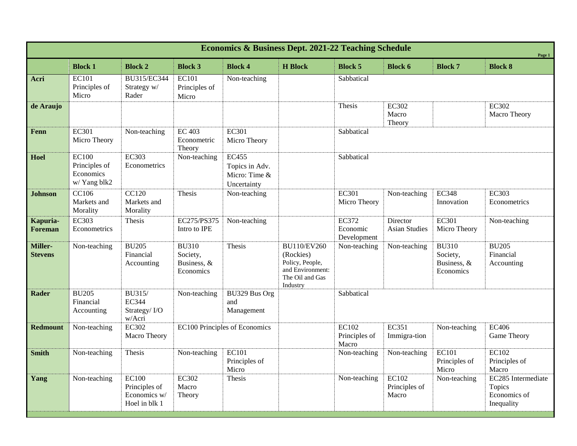| <b>Economics &amp; Business Dept. 2021-22 Teaching Schedule</b><br>Page 1 |                                                            |                                                                |                                                      |                                                                |                                                                                                       |                                         |                                        |                                                      |                                                            |  |
|---------------------------------------------------------------------------|------------------------------------------------------------|----------------------------------------------------------------|------------------------------------------------------|----------------------------------------------------------------|-------------------------------------------------------------------------------------------------------|-----------------------------------------|----------------------------------------|------------------------------------------------------|------------------------------------------------------------|--|
|                                                                           | <b>Block 1</b>                                             | <b>Block 2</b>                                                 | <b>Block 3</b>                                       | <b>Block 4</b>                                                 | <b>H</b> Block                                                                                        | <b>Block 5</b>                          | <b>Block 6</b>                         | <b>Block 7</b>                                       | <b>Block 8</b>                                             |  |
| Acri                                                                      | <b>EC101</b><br>Principles of<br>Micro                     | BU315/EC344<br>Strategy w/<br>Rader                            | EC101<br>Principles of<br>Micro                      | Non-teaching                                                   |                                                                                                       | Sabbatical                              |                                        |                                                      |                                                            |  |
| de Araujo                                                                 |                                                            |                                                                |                                                      |                                                                |                                                                                                       | Thesis                                  | <b>EC302</b><br>Macro<br>Theory        |                                                      | <b>EC302</b><br>Macro Theory                               |  |
| Fenn                                                                      | <b>EC301</b><br>Micro Theory                               | Non-teaching                                                   | <b>EC 403</b><br>Econometric<br>Theory               | <b>EC301</b><br>Micro Theory                                   |                                                                                                       | Sabbatical                              |                                        |                                                      |                                                            |  |
| Hoel                                                                      | <b>EC100</b><br>Principles of<br>Economics<br>w/ Yang blk2 | <b>EC303</b><br>Econometrics                                   | Non-teaching                                         | <b>EC455</b><br>Topics in Adv.<br>Micro: Time &<br>Uncertainty |                                                                                                       | Sabbatical                              |                                        |                                                      |                                                            |  |
| <b>Johnson</b>                                                            | CC106<br>Markets and<br>Morality                           | <b>CC120</b><br>Markets and<br>Morality                        | Thesis                                               | Non-teaching                                                   |                                                                                                       | <b>EC301</b><br>Micro Theory            | Non-teaching                           | <b>EC348</b><br>Innovation                           | <b>EC303</b><br>Econometrics                               |  |
| Kapuria-<br><b>Foreman</b>                                                | <b>EC303</b><br>Econometrics                               | Thesis                                                         | EC275/PS375<br>Intro to IPE                          | Non-teaching                                                   |                                                                                                       | <b>EC372</b><br>Economic<br>Development | Director<br><b>Asian Studies</b>       | <b>EC301</b><br>Micro Theory                         | Non-teaching                                               |  |
| Miller-<br><b>Stevens</b>                                                 | Non-teaching                                               | <b>BU205</b><br>Financial<br>Accounting                        | <b>BU310</b><br>Society,<br>Business, &<br>Economics | Thesis                                                         | <b>BU110/EV260</b><br>(Rockies)<br>Policy, People,<br>and Environment:<br>The Oil and Gas<br>Industry | Non-teaching                            | Non-teaching                           | <b>BU310</b><br>Society,<br>Business, &<br>Economics | <b>BU205</b><br>Financial<br>Accounting                    |  |
| <b>Rader</b>                                                              | <b>BU205</b><br>Financial<br>Accounting                    | <b>BU315/</b><br><b>EC344</b><br>Strategy/I/O<br>w/Acri        | Non-teaching                                         | BU329 Bus Org<br>and<br>Management                             |                                                                                                       | Sabbatical                              |                                        |                                                      |                                                            |  |
| <b>Redmount</b>                                                           | Non-teaching                                               | <b>EC302</b><br>Macro Theory                                   | EC100 Principles of Economics                        |                                                                |                                                                                                       | EC102<br>Principles of<br>Macro         | EC351<br>Immigra-tion                  | Non-teaching                                         | <b>EC406</b><br>Game Theory                                |  |
| <b>Smith</b>                                                              | Non-teaching                                               | Thesis                                                         | Non-teaching                                         | <b>EC101</b><br>Principles of<br>Micro                         |                                                                                                       | Non-teaching                            | Non-teaching                           | EC101<br>Principles of<br>Micro                      | EC102<br>Principles of<br>Macro                            |  |
| Yang                                                                      | Non-teaching                                               | <b>EC100</b><br>Principles of<br>Economics w/<br>Hoel in blk 1 | <b>EC302</b><br>Macro<br>Theory                      | Thesis                                                         |                                                                                                       | Non-teaching                            | <b>EC102</b><br>Principles of<br>Macro | Non-teaching                                         | EC285 Intermediate<br>Topics<br>Economics of<br>Inequality |  |